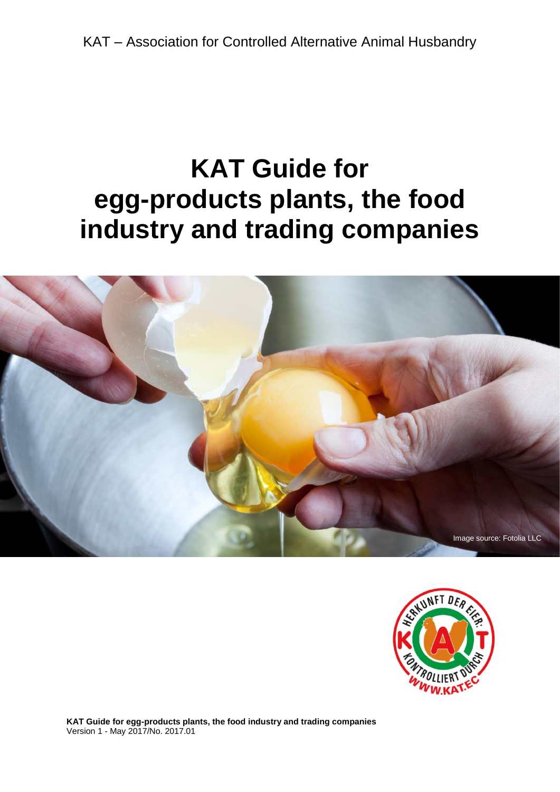# **KAT Guide for egg-products plants, the food industry and trading companies**





**KAT Guide for egg-products plants, the food industry and trading companies** Version 1 - May 2017/No. 2017.01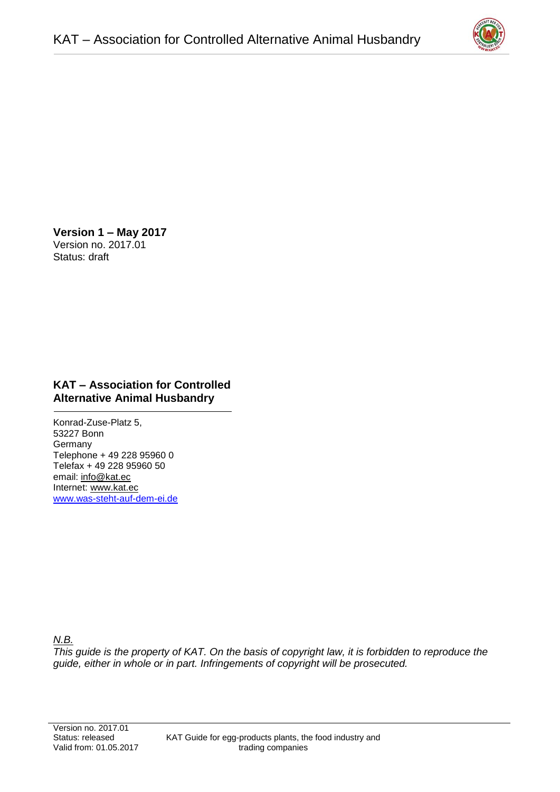

**Version 1 – May 2017**  Version no. 2017.01 Status: draft

# **KAT – Association for Controlled Alternative Animal Husbandry**

Konrad-Zuse-Platz 5, 53227 Bonn **Germany** Telephone + 49 228 95960 0 Telefax + 49 228 95960 50 email: [info@kat.ec](mailto:info@kat.ec) Internet: [www.kat.ec](http://www.kat.ec/) [www.was-steht-auf-dem-ei.de](http://www.was-steht-auf-dem-ei.de/)

# *N.B.*

*This guide is the property of KAT. On the basis of copyright law, it is forbidden to reproduce the guide, either in whole or in part. Infringements of copyright will be prosecuted.*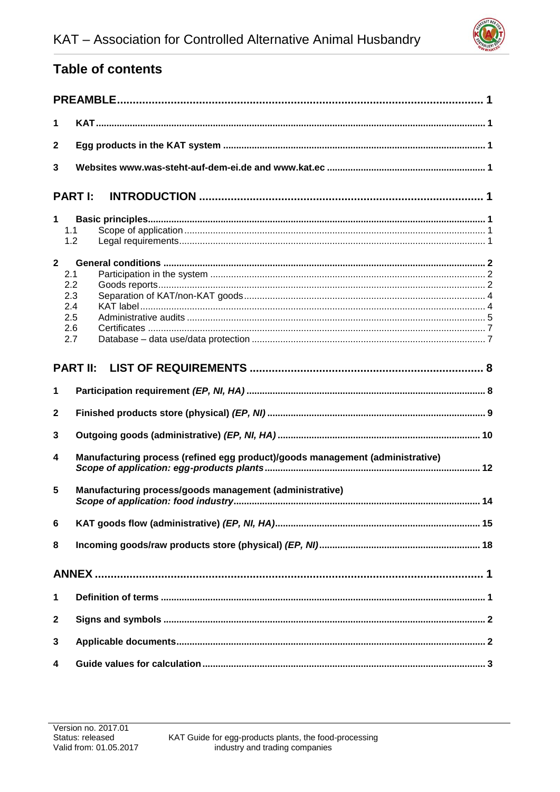

# **Table of contents**

| 1               |                                                                               |  |  |  |  |  |
|-----------------|-------------------------------------------------------------------------------|--|--|--|--|--|
| $\mathbf{2}$    |                                                                               |  |  |  |  |  |
| 3               |                                                                               |  |  |  |  |  |
|                 | <b>PARTI:</b>                                                                 |  |  |  |  |  |
| 1               | 1.1<br>1.2                                                                    |  |  |  |  |  |
| $\mathbf{2}$    | 2.1<br>2.2<br>2.3<br>2.4<br>2.5<br>2.6<br>2.7                                 |  |  |  |  |  |
| <b>PART II:</b> |                                                                               |  |  |  |  |  |
| 1               |                                                                               |  |  |  |  |  |
| $\mathbf{2}$    |                                                                               |  |  |  |  |  |
| 3               |                                                                               |  |  |  |  |  |
| 4               | Manufacturing process (refined egg product)/goods management (administrative) |  |  |  |  |  |
| 5               | Manufacturing process/goods management (administrative)                       |  |  |  |  |  |
| 6               |                                                                               |  |  |  |  |  |
| 8               |                                                                               |  |  |  |  |  |
|                 |                                                                               |  |  |  |  |  |
| 1               |                                                                               |  |  |  |  |  |
| $\mathbf{2}$    |                                                                               |  |  |  |  |  |
| 3               |                                                                               |  |  |  |  |  |
| 4               |                                                                               |  |  |  |  |  |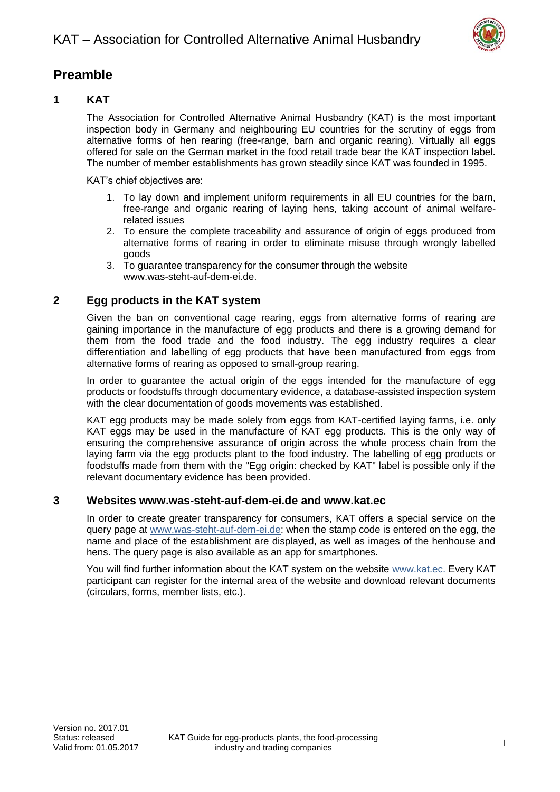

# <span id="page-3-0"></span>**Preamble**

# <span id="page-3-1"></span>**1 KAT**

The Association for Controlled Alternative Animal Husbandry (KAT) is the most important inspection body in Germany and neighbouring EU countries for the scrutiny of eggs from alternative forms of hen rearing (free-range, barn and organic rearing). Virtually all eggs offered for sale on the German market in the food retail trade bear the KAT inspection label. The number of member establishments has grown steadily since KAT was founded in 1995.

KAT's chief objectives are:

- 1. To lay down and implement uniform requirements in all EU countries for the barn, free-range and organic rearing of laying hens, taking account of animal welfarerelated issues
- 2. To ensure the complete traceability and assurance of origin of eggs produced from alternative forms of rearing in order to eliminate misuse through wrongly labelled goods
- 3. To guarantee transparency for the consumer through the website [www.was-steht-auf-dem-ei.de.](http://www.was-steht-auf-dem-ei.de/)

# <span id="page-3-2"></span>**2 Egg products in the KAT system**

Given the ban on conventional cage rearing, eggs from alternative forms of rearing are gaining importance in the manufacture of egg products and there is a growing demand for them from the food trade and the food industry. The egg industry requires a clear differentiation and labelling of egg products that have been manufactured from eggs from alternative forms of rearing as opposed to small-group rearing.

In order to guarantee the actual origin of the eggs intended for the manufacture of egg products or foodstuffs through documentary evidence, a database-assisted inspection system with the clear documentation of goods movements was established.

KAT egg products may be made solely from eggs from KAT-certified laying farms, i.e. only KAT eggs may be used in the manufacture of KAT egg products. This is the only way of ensuring the comprehensive assurance of origin across the whole process chain from the laying farm via the egg products plant to the food industry. The labelling of egg products or foodstuffs made from them with the "Egg origin: checked by KAT" label is possible only if the relevant documentary evidence has been provided.

#### <span id="page-3-3"></span>**3 Websites [www.was-steht-auf-dem-ei.de](http://www.was-steht-auf-dem-ei.de/) and [www.kat.ec](http://www.kat.ec/)**

In order to create greater transparency for consumers, KAT offers a special service on the query page at [www.was-steht-auf-dem-ei.de:](http://www.was-steht-auf-dem-ei.de/) when the stamp code is entered on the egg, the name and place of the establishment are displayed, as well as images of the henhouse and hens. The query page is also available as an app for smartphones.

You will find further information about the KAT system on the website [www.kat.ec.](http://www.kat.ec/) Every KAT participant can register for the internal area of the website and download relevant documents (circulars, forms, member lists, etc.).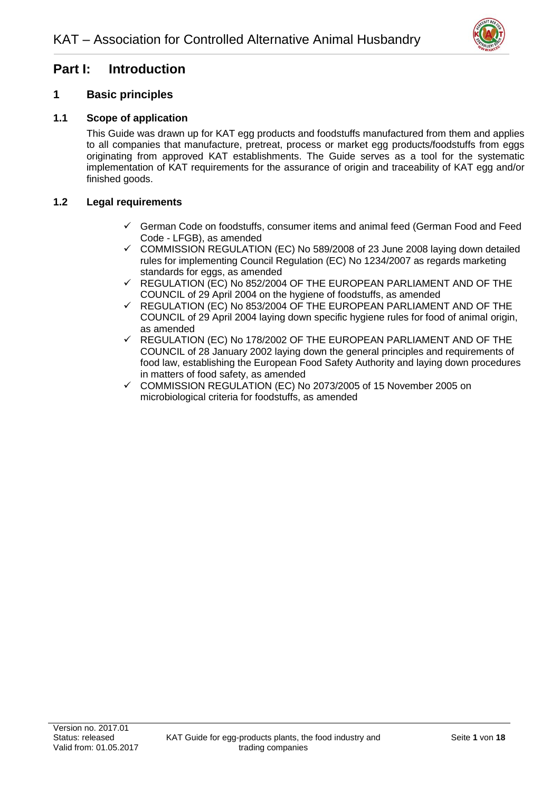

# <span id="page-4-0"></span>**Part I: Introduction**

# <span id="page-4-1"></span>**1 Basic principles**

#### <span id="page-4-2"></span>**1.1 Scope of application**

This Guide was drawn up for KAT egg products and foodstuffs manufactured from them and applies to all companies that manufacture, pretreat, process or market egg products/foodstuffs from eggs originating from approved KAT establishments. The Guide serves as a tool for the systematic implementation of KAT requirements for the assurance of origin and traceability of KAT egg and/or finished goods.

#### <span id="page-4-3"></span>**1.2 Legal requirements**

- ✓ German Code on foodstuffs, consumer items and animal feed (German Food and Feed Code - LFGB), as amended
- $\checkmark$  COMMISSION REGULATION (EC) No 589/2008 of 23 June 2008 laying down detailed rules for implementing Council Regulation (EC) No 1234/2007 as regards marketing standards for eggs, as amended
- $\checkmark$  REGULATION (EC) No 852/2004 OF THE EUROPEAN PARLIAMENT AND OF THE COUNCIL of 29 April 2004 on the hygiene of foodstuffs, as amended
- $\checkmark$  REGULATION (EC) No 853/2004 OF THE EUROPEAN PARLIAMENT AND OF THE COUNCIL of 29 April 2004 laying down specific hygiene rules for food of animal origin, as amended
- $\checkmark$  REGULATION (EC) No 178/2002 OF THE EUROPEAN PARLIAMENT AND OF THE COUNCIL of 28 January 2002 laying down the general principles and requirements of food law, establishing the European Food Safety Authority and laying down procedures in matters of food safety, as amended
- ✓ COMMISSION REGULATION (EC) No 2073/2005 of 15 November 2005 on microbiological criteria for foodstuffs, as amended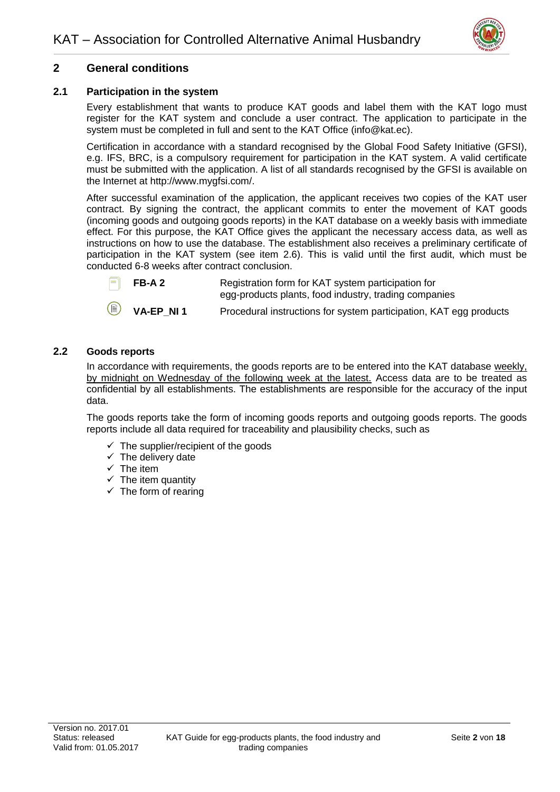

# <span id="page-5-0"></span>**2 General conditions**

#### <span id="page-5-1"></span>**2.1 Participation in the system**

Every establishment that wants to produce KAT goods and label them with the KAT logo must register for the KAT system and conclude a user contract. The application to participate in the system must be completed in full and sent to the KAT Office (info@kat.ec).

Certification in accordance with a standard recognised by the Global Food Safety Initiative (GFSI), e.g. IFS, BRC, is a compulsory requirement for participation in the KAT system. A valid certificate must be submitted with the application. A list of all standards recognised by the GFSI is available on the Internet at [http://www.mygfsi.com/.](http://www.mygfsi.com/)

After successful examination of the application, the applicant receives two copies of the KAT user contract. By signing the contract, the applicant commits to enter the movement of KAT goods (incoming goods and outgoing goods reports) in the KAT database on a weekly basis with immediate effect. For this purpose, the KAT Office gives the applicant the necessary access data, as well as instructions on how to use the database. The establishment also receives a preliminary certificate of participation in the KAT system (see item 2.6). This is valid until the first audit, which must be conducted 6-8 weeks after contract conclusion.



**FB-A 2** Registration form for KAT system participation for egg-products plants, food industry, trading companies

**VA-EP\_NI 1** Procedural instructions for system participation, KAT egg products

#### <span id="page-5-2"></span>**2.2 Goods reports**

In accordance with requirements, the goods reports are to be entered into the KAT database weekly, by midnight on Wednesday of the following week at the latest. Access data are to be treated as confidential by all establishments. The establishments are responsible for the accuracy of the input data.

The goods reports take the form of incoming goods reports and outgoing goods reports. The goods reports include all data required for traceability and plausibility checks, such as

- $\checkmark$  The supplier/recipient of the goods
- $\checkmark$  The delivery date
- $\checkmark$  The item
- $\checkmark$  The item quantity
- $\checkmark$  The form of rearing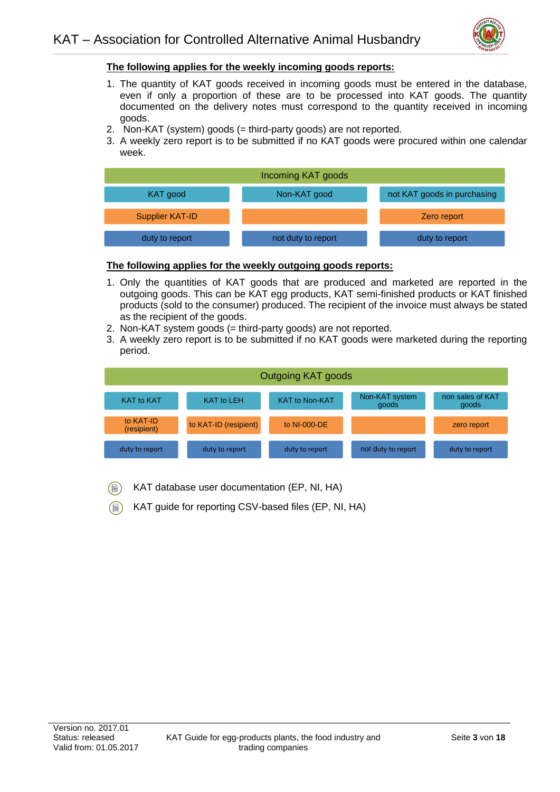

#### **The following applies for the weekly incoming goods reports:**

- 1. The quantity of KAT goods received in incoming goods must be entered in the database, even if only a proportion of these are to be processed into KAT goods. The quantity documented on the delivery notes must correspond to the quantity received in incoming goods.
- 2. Non-KAT (system) goods (= third-party goods) are not reported.
- 3. A weekly zero report is to be submitted if no KAT goods were procured within one calendar week.



#### **The following applies for the weekly outgoing goods reports:**

- 1. Only the quantities of KAT goods that are produced and marketed are reported in the outgoing goods. This can be KAT egg products, KAT semi-finished products or KAT finished products (sold to the consumer) produced. The recipient of the invoice must always be stated as the recipient of the goods.
- 2. Non-KAT system goods (= third-party goods) are not reported.
- 3. A weekly zero report is to be submitted if no KAT goods were marketed during the reporting period.

| Outgoing KAT goods       |                       |                       |                         |                           |  |  |
|--------------------------|-----------------------|-----------------------|-------------------------|---------------------------|--|--|
| <b>KAT to KAT</b>        | <b>KAT to LEH</b>     | <b>KAT to Non-KAT</b> | Non-KAT system<br>goods | non sales of KAT<br>goods |  |  |
| to KAT-ID<br>(resipient) | to KAT-ID (resipient) | to NI-000-DE          |                         | zero report               |  |  |
| duty to report           | duty to report        | duty to report        | not duty to report      | duty to report            |  |  |

- KAT database user documentation (EP, NI, HA)
- KAT guide for reporting CSV-based files (EP, NI, HA)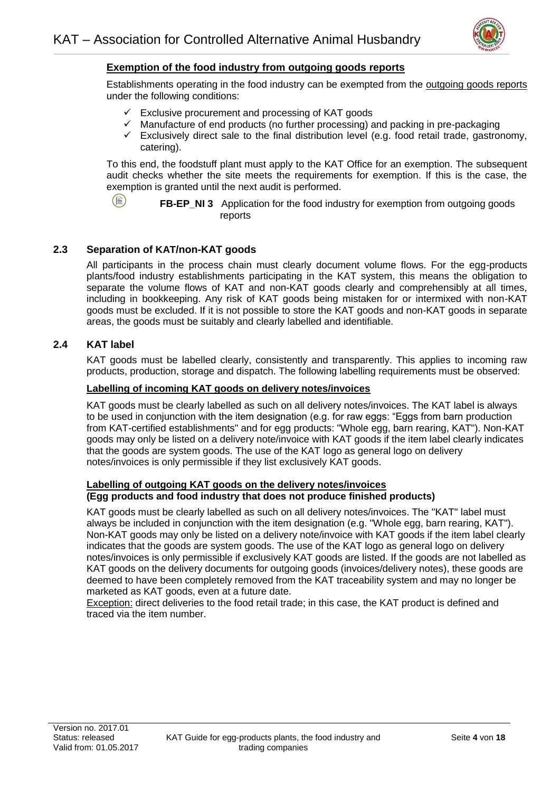

#### **Exemption of the food industry from outgoing goods reports**

Establishments operating in the food industry can be exempted from the outgoing goods reports under the following conditions:

- $\checkmark$  Exclusive procurement and processing of KAT goods
- $\checkmark$  Manufacture of end products (no further processing) and packing in pre-packaging
- $\checkmark$  Exclusively direct sale to the final distribution level (e.g. food retail trade, gastronomy, catering).

To this end, the foodstuff plant must apply to the KAT Office for an exemption. The subsequent audit checks whether the site meets the requirements for exemption. If this is the case, the exemption is granted until the next audit is performed.

![](_page_7_Picture_8.jpeg)

**FB-EP\_NI 3** Application for the food industry for exemption from outgoing goods reports

#### <span id="page-7-0"></span>**2.3 Separation of KAT/non-KAT goods**

All participants in the process chain must clearly document volume flows. For the egg-products plants/food industry establishments participating in the KAT system, this means the obligation to separate the volume flows of KAT and non-KAT goods clearly and comprehensibly at all times, including in bookkeeping. Any risk of KAT goods being mistaken for or intermixed with non-KAT goods must be excluded. If it is not possible to store the KAT goods and non-KAT goods in separate areas, the goods must be suitably and clearly labelled and identifiable.

#### <span id="page-7-1"></span>**2.4 KAT label**

KAT goods must be labelled clearly, consistently and transparently. This applies to incoming raw products, production, storage and dispatch. The following labelling requirements must be observed:

#### **Labelling of incoming KAT goods on delivery notes/invoices**

KAT goods must be clearly labelled as such on all delivery notes/invoices. The KAT label is always to be used in conjunction with the item designation (e.g. for raw eggs: "Eggs from barn production from KAT-certified establishments" and for egg products: "Whole egg, barn rearing, KAT"). Non-KAT goods may only be listed on a delivery note/invoice with KAT goods if the item label clearly indicates that the goods are system goods. The use of the KAT logo as general logo on delivery notes/invoices is only permissible if they list exclusively KAT goods.

#### **Labelling of outgoing KAT goods on the delivery notes/invoices (Egg products and food industry that does not produce finished products)**

KAT goods must be clearly labelled as such on all delivery notes/invoices. The "KAT" label must always be included in conjunction with the item designation (e.g. "Whole egg, barn rearing, KAT"). Non-KAT goods may only be listed on a delivery note/invoice with KAT goods if the item label clearly indicates that the goods are system goods. The use of the KAT logo as general logo on delivery notes/invoices is only permissible if exclusively KAT goods are listed. If the goods are not labelled as KAT goods on the delivery documents for outgoing goods (invoices/delivery notes), these goods are deemed to have been completely removed from the KAT traceability system and may no longer be marketed as KAT goods, even at a future date.

Exception: direct deliveries to the food retail trade; in this case, the KAT product is defined and traced via the item number.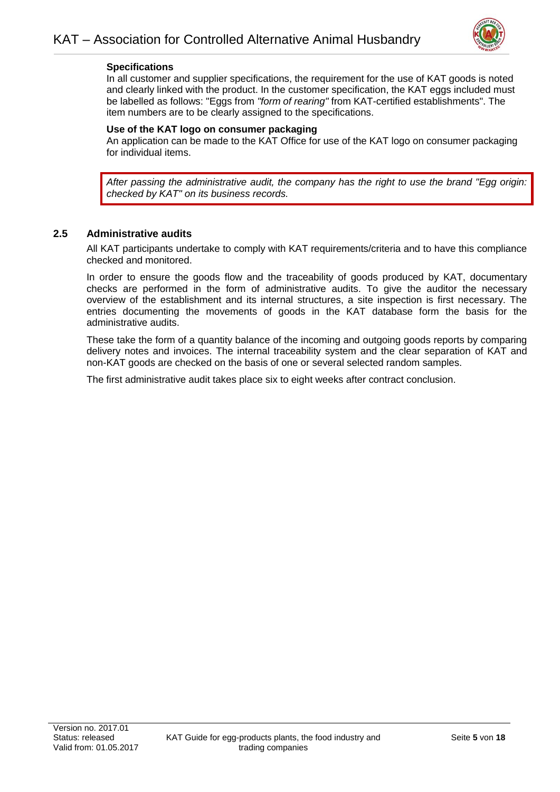![](_page_8_Picture_1.jpeg)

#### **Specifications**

In all customer and supplier specifications, the requirement for the use of KAT goods is noted and clearly linked with the product. In the customer specification, the KAT eggs included must be labelled as follows: "Eggs from *"form of rearing"* from KAT-certified establishments". The item numbers are to be clearly assigned to the specifications.

#### **Use of the KAT logo on consumer packaging**

An application can be made to the KAT Office for use of the KAT logo on consumer packaging for individual items.

*After passing the administrative audit, the company has the right to use the brand "Egg origin: checked by KAT" on its business records.*

#### <span id="page-8-0"></span>**2.5 Administrative audits**

All KAT participants undertake to comply with KAT requirements/criteria and to have this compliance checked and monitored.

In order to ensure the goods flow and the traceability of goods produced by KAT, documentary checks are performed in the form of administrative audits. To give the auditor the necessary overview of the establishment and its internal structures, a site inspection is first necessary. The entries documenting the movements of goods in the KAT database form the basis for the administrative audits.

These take the form of a quantity balance of the incoming and outgoing goods reports by comparing delivery notes and invoices. The internal traceability system and the clear separation of KAT and non-KAT goods are checked on the basis of one or several selected random samples.

The first administrative audit takes place six to eight weeks after contract conclusion.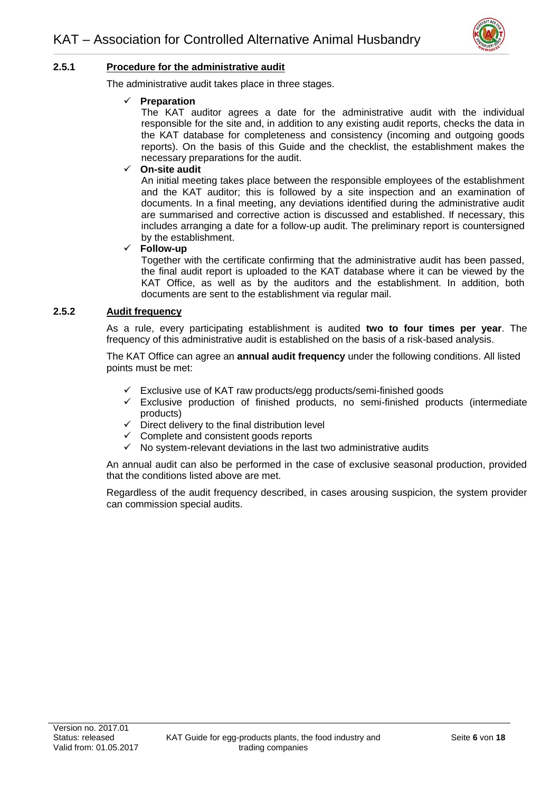![](_page_9_Picture_1.jpeg)

#### **2.5.1 Procedure for the administrative audit**

The administrative audit takes place in three stages.

#### ✓ **Preparation**

The KAT auditor agrees a date for the administrative audit with the individual responsible for the site and, in addition to any existing audit reports, checks the data in the KAT database for completeness and consistency (incoming and outgoing goods reports). On the basis of this Guide and the checklist, the establishment makes the necessary preparations for the audit.

#### ✓ **On-site audit**

An initial meeting takes place between the responsible employees of the establishment and the KAT auditor; this is followed by a site inspection and an examination of documents. In a final meeting, any deviations identified during the administrative audit are summarised and corrective action is discussed and established. If necessary, this includes arranging a date for a follow-up audit. The preliminary report is countersigned by the establishment.

#### ✓ **Follow-up**

Together with the certificate confirming that the administrative audit has been passed, the final audit report is uploaded to the KAT database where it can be viewed by the KAT Office, as well as by the auditors and the establishment. In addition, both documents are sent to the establishment via regular mail.

#### **2.5.2 Audit frequency**

As a rule, every participating establishment is audited **two to four times per year**. The frequency of this administrative audit is established on the basis of a risk-based analysis.

The KAT Office can agree an **annual audit frequency** under the following conditions. All listed points must be met:

- $\checkmark$  Exclusive use of KAT raw products/egg products/semi-finished goods
- $\checkmark$  Exclusive production of finished products, no semi-finished products (intermediate products)
- $\checkmark$  Direct delivery to the final distribution level
- $\checkmark$  Complete and consistent goods reports
- $\checkmark$  No system-relevant deviations in the last two administrative audits

An annual audit can also be performed in the case of exclusive seasonal production, provided that the conditions listed above are met.

Regardless of the audit frequency described, in cases arousing suspicion, the system provider can commission special audits.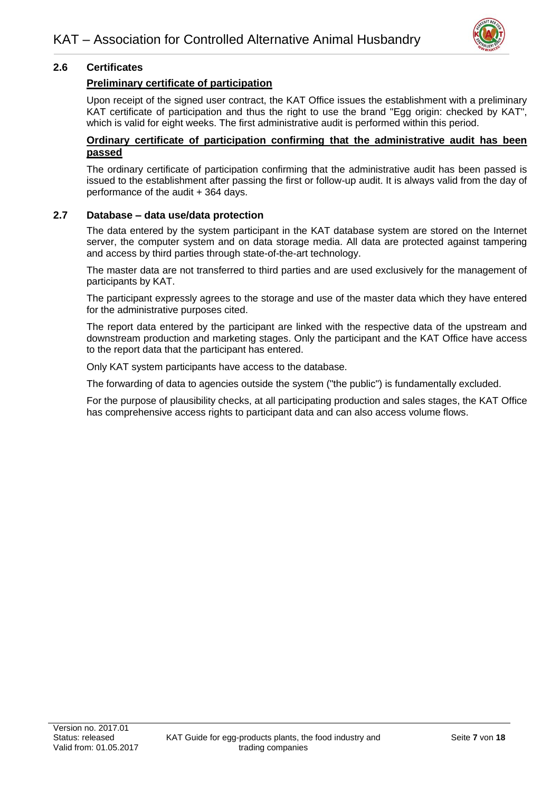![](_page_10_Picture_1.jpeg)

#### <span id="page-10-0"></span>**2.6 Certificates**

#### **Preliminary certificate of participation**

Upon receipt of the signed user contract, the KAT Office issues the establishment with a preliminary KAT certificate of participation and thus the right to use the brand "Egg origin: checked by KAT", which is valid for eight weeks. The first administrative audit is performed within this period.

#### **Ordinary certificate of participation confirming that the administrative audit has been passed**

The ordinary certificate of participation confirming that the administrative audit has been passed is issued to the establishment after passing the first or follow-up audit. It is always valid from the day of performance of the audit + 364 days.

#### <span id="page-10-1"></span>**2.7 Database – data use/data protection**

The data entered by the system participant in the KAT database system are stored on the Internet server, the computer system and on data storage media. All data are protected against tampering and access by third parties through state-of-the-art technology.

The master data are not transferred to third parties and are used exclusively for the management of participants by KAT.

The participant expressly agrees to the storage and use of the master data which they have entered for the administrative purposes cited.

The report data entered by the participant are linked with the respective data of the upstream and downstream production and marketing stages. Only the participant and the KAT Office have access to the report data that the participant has entered.

Only KAT system participants have access to the database.

The forwarding of data to agencies outside the system ("the public") is fundamentally excluded.

For the purpose of plausibility checks, at all participating production and sales stages, the KAT Office has comprehensive access rights to participant data and can also access volume flows.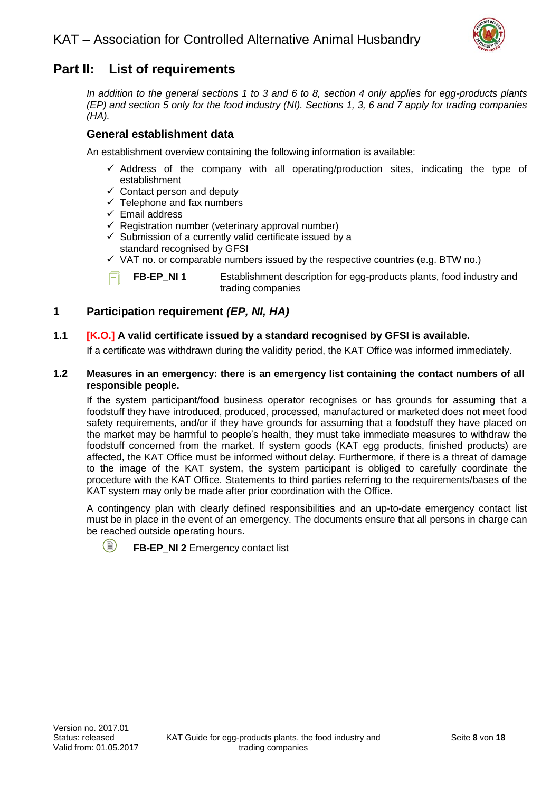![](_page_11_Picture_1.jpeg)

# <span id="page-11-0"></span>**Part II: List of requirements**

*In addition to the general sections 1 to 3 and 6 to 8, section 4 only applies for egg-products plants (EP) and section 5 only for the food industry (NI). Sections 1, 3, 6 and 7 apply for trading companies (HA).*

# **General establishment data**

An establishment overview containing the following information is available:

- $\checkmark$  Address of the company with all operating/production sites, indicating the type of establishment
- $\checkmark$  Contact person and deputy
- $\checkmark$  Telephone and fax numbers
- ✓ Email address
- $\checkmark$  Registration number (veterinary approval number)
- $\checkmark$  Submission of a currently valid certificate issued by a standard recognised by GFSI
- $\checkmark$  VAT no. or comparable numbers issued by the respective countries (e.g. BTW no.)

**FB-EP\_NI 1** Establishment description for egg-products plants, food industry and

trading companies

# <span id="page-11-1"></span>**1 Participation requirement** *(EP, NI, HA)*

#### **1.1 [K.O.] A valid certificate issued by a standard recognised by GFSI is available.**

If a certificate was withdrawn during the validity period, the KAT Office was informed immediately.

#### **1.2 Measures in an emergency: there is an emergency list containing the contact numbers of all responsible people.**

If the system participant/food business operator recognises or has grounds for assuming that a foodstuff they have introduced, produced, processed, manufactured or marketed does not meet food safety requirements, and/or if they have grounds for assuming that a foodstuff they have placed on the market may be harmful to people's health, they must take immediate measures to withdraw the foodstuff concerned from the market. If system goods (KAT egg products, finished products) are affected, the KAT Office must be informed without delay. Furthermore, if there is a threat of damage to the image of the KAT system, the system participant is obliged to carefully coordinate the procedure with the KAT Office. Statements to third parties referring to the requirements/bases of the KAT system may only be made after prior coordination with the Office.

A contingency plan with clearly defined responsibilities and an up-to-date emergency contact list must be in place in the event of an emergency. The documents ensure that all persons in charge can be reached outside operating hours.

![](_page_11_Picture_22.jpeg)

**FB-EP\_NI 2** Emergency contact list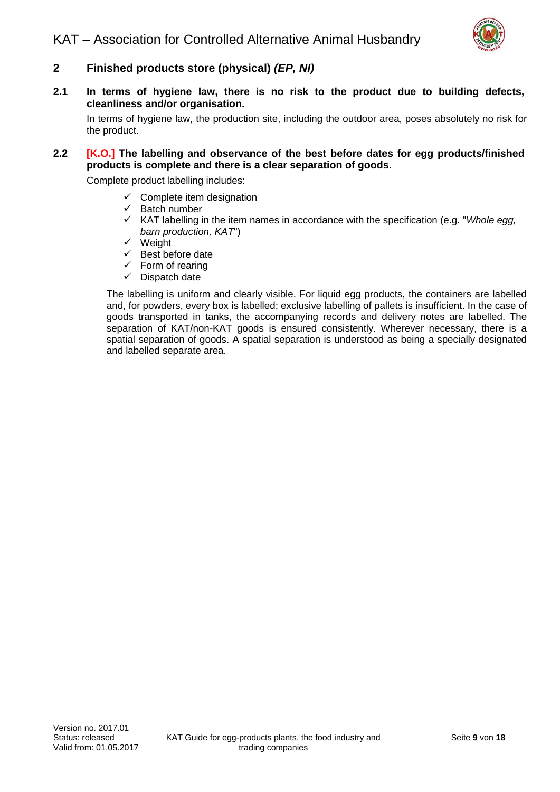![](_page_12_Picture_1.jpeg)

# <span id="page-12-0"></span>**2 Finished products store (physical)** *(EP, NI)*

**2.1 In terms of hygiene law, there is no risk to the product due to building defects, cleanliness and/or organisation.**

In terms of hygiene law, the production site, including the outdoor area, poses absolutely no risk for the product.

#### **2.2 [K.O.] The labelling and observance of the best before dates for egg products/finished products is complete and there is a clear separation of goods.**

Complete product labelling includes:

- $\checkmark$  Complete item designation
- $\checkmark$  Batch number
- ✓ KAT labelling in the item names in accordance with the specification (e.g. "*Whole egg, barn production, KAT*")
- ✓ Weight
- $\checkmark$  Best before date
- $\checkmark$  Form of rearing
- $\checkmark$  Dispatch date

The labelling is uniform and clearly visible. For liquid egg products, the containers are labelled and, for powders, every box is labelled; exclusive labelling of pallets is insufficient. In the case of goods transported in tanks, the accompanying records and delivery notes are labelled. The separation of KAT/non-KAT goods is ensured consistently. Wherever necessary, there is a spatial separation of goods. A spatial separation is understood as being a specially designated and labelled separate area.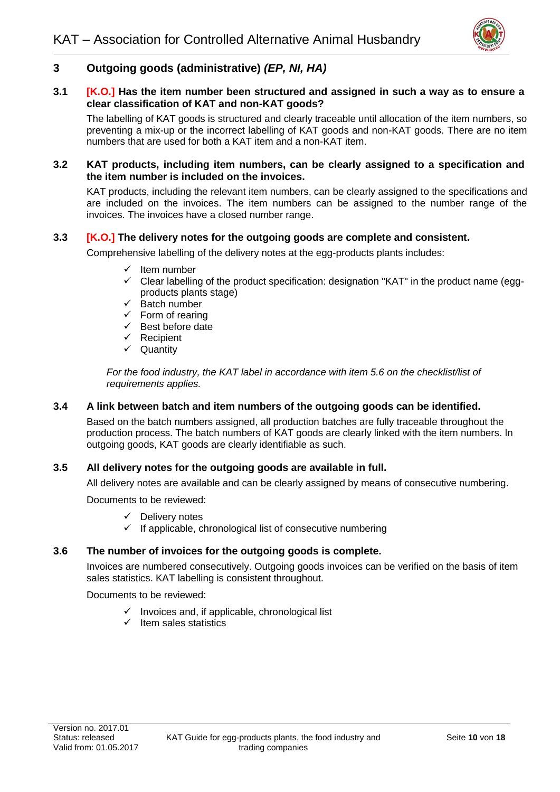![](_page_13_Picture_1.jpeg)

# <span id="page-13-0"></span>**3 Outgoing goods (administrative)** *(EP, NI, HA)*

#### **3.1 [K.O.] Has the item number been structured and assigned in such a way as to ensure a clear classification of KAT and non-KAT goods?**

The labelling of KAT goods is structured and clearly traceable until allocation of the item numbers, so preventing a mix-up or the incorrect labelling of KAT goods and non-KAT goods. There are no item numbers that are used for both a KAT item and a non-KAT item.

#### **3.2 KAT products, including item numbers, can be clearly assigned to a specification and the item number is included on the invoices.**

KAT products, including the relevant item numbers, can be clearly assigned to the specifications and are included on the invoices. The item numbers can be assigned to the number range of the invoices. The invoices have a closed number range.

#### **3.3 [K.O.] The delivery notes for the outgoing goods are complete and consistent.**

Comprehensive labelling of the delivery notes at the egg-products plants includes:

- Item number
- $\checkmark$  Clear labelling of the product specification: designation "KAT" in the product name (eggproducts plants stage)
- $\checkmark$  Batch number
- $\checkmark$  Form of rearing
- $\checkmark$  Best before date
- ✓ Recipient
- ✓ Quantity

*For the food industry, the KAT label in accordance with item 5.6 on the checklist/list of requirements applies.*

#### **3.4 A link between batch and item numbers of the outgoing goods can be identified.**

Based on the batch numbers assigned, all production batches are fully traceable throughout the production process. The batch numbers of KAT goods are clearly linked with the item numbers. In outgoing goods, KAT goods are clearly identifiable as such.

#### **3.5 All delivery notes for the outgoing goods are available in full.**

All delivery notes are available and can be clearly assigned by means of consecutive numbering.

Documents to be reviewed:

- $\checkmark$  Delivery notes
- If applicable, chronological list of consecutive numbering

#### **3.6 The number of invoices for the outgoing goods is complete.**

Invoices are numbered consecutively. Outgoing goods invoices can be verified on the basis of item sales statistics. KAT labelling is consistent throughout.

#### Documents to be reviewed:

- $\checkmark$  Invoices and, if applicable, chronological list
- $\checkmark$  Item sales statistics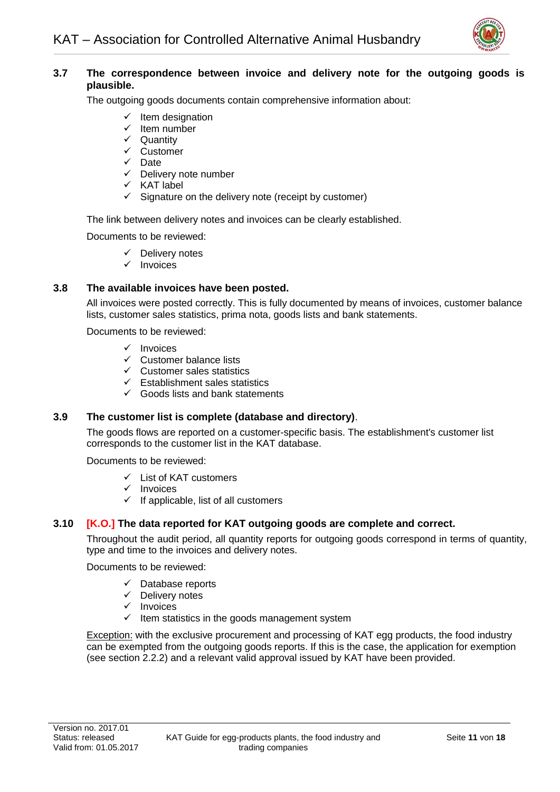![](_page_14_Picture_1.jpeg)

# **3.7 The correspondence between invoice and delivery note for the outgoing goods is plausible.**

The outgoing goods documents contain comprehensive information about:

- $\checkmark$  Item designation
- $\checkmark$  Item number
- ✓ Quantity
- ✓ Customer
- ✓ Date
- $\checkmark$  Delivery note number
- ✓ KAT label
- $\checkmark$  Signature on the delivery note (receipt by customer)

The link between delivery notes and invoices can be clearly established.

Documents to be reviewed:

- ✓ Delivery notes
- ✓ Invoices

# **3.8 The available invoices have been posted.**

All invoices were posted correctly. This is fully documented by means of invoices, customer balance lists, customer sales statistics, prima nota, goods lists and bank statements.

#### Documents to be reviewed:

- ✓ Invoices
- ✓ Customer balance lists
- $\checkmark$  Customer sales statistics
- $\checkmark$  Establishment sales statistics
- $\checkmark$  Goods lists and bank statements

#### **3.9 The customer list is complete (database and directory)**.

The goods flows are reported on a customer-specific basis. The establishment's customer list corresponds to the customer list in the KAT database.

Documents to be reviewed:

- ✓ List of KAT customers
- ✓ Invoices
- $\checkmark$  If applicable, list of all customers

# **3.10 [K.O.] The data reported for KAT outgoing goods are complete and correct.**

Throughout the audit period, all quantity reports for outgoing goods correspond in terms of quantity, type and time to the invoices and delivery notes.

Documents to be reviewed:

- ✓ Database reports
- ✓ Delivery notes
- ✓ Invoices
- $\checkmark$  Item statistics in the goods management system

Exception: with the exclusive procurement and processing of KAT egg products, the food industry can be exempted from the outgoing goods reports. If this is the case, the application for exemption (see section 2.2.2) and a relevant valid approval issued by KAT have been provided.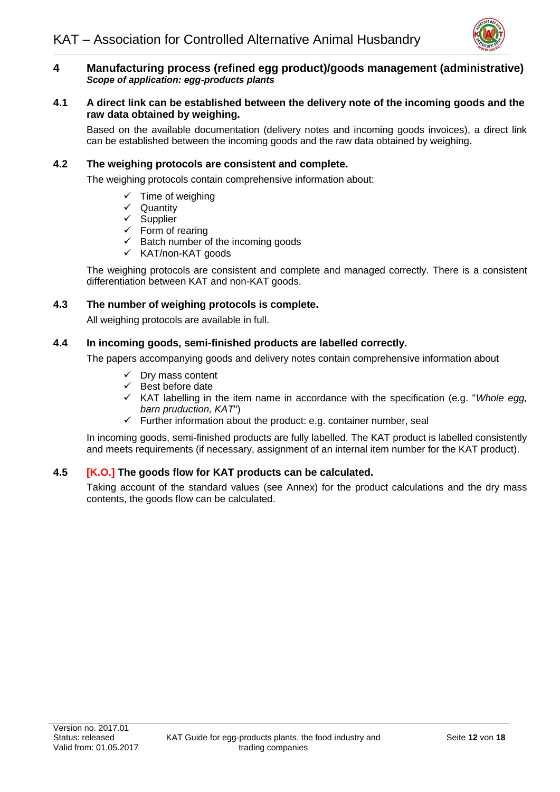![](_page_15_Picture_1.jpeg)

#### <span id="page-15-0"></span>**4 Manufacturing process (refined egg product)/goods management (administrative)**  *Scope of application: egg-products plants*

#### **4.1 A direct link can be established between the delivery note of the incoming goods and the raw data obtained by weighing.**

Based on the available documentation (delivery notes and incoming goods invoices), a direct link can be established between the incoming goods and the raw data obtained by weighing.

#### **4.2 The weighing protocols are consistent and complete.**

The weighing protocols contain comprehensive information about:

- $\checkmark$  Time of weighing
- ✓ Quantity
- ✓ Supplier
- $\checkmark$  Form of rearing
- $\checkmark$  Batch number of the incoming goods
- ✓ KAT/non-KAT goods

The weighing protocols are consistent and complete and managed correctly. There is a consistent differentiation between KAT and non-KAT goods.

#### **4.3 The number of weighing protocols is complete.**

All weighing protocols are available in full.

#### **4.4 In incoming goods, semi-finished products are labelled correctly.**

The papers accompanying goods and delivery notes contain comprehensive information about

- ✓ Dry mass content
- $\checkmark$  Best before date
- ✓ KAT labelling in the item name in accordance with the specification (e.g. "*Whole egg, barn pruduction, KAT*")
- $\checkmark$  Further information about the product: e.g. container number, seal

In incoming goods, semi-finished products are fully labelled. The KAT product is labelled consistently and meets requirements (if necessary, assignment of an internal item number for the KAT product).

#### **4.5 [K.O.] The goods flow for KAT products can be calculated.**

Taking account of the standard values (see Annex) for the product calculations and the dry mass contents, the goods flow can be calculated.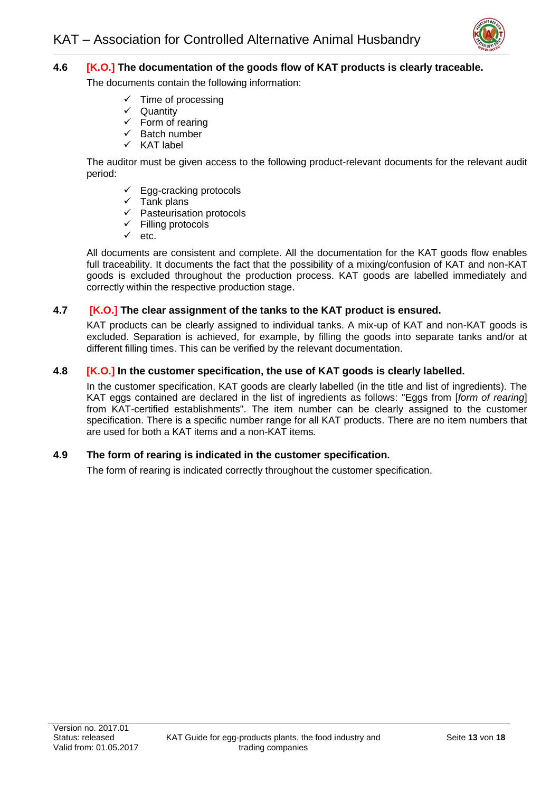![](_page_16_Picture_1.jpeg)

# **4.6 [K.O.] The documentation of the goods flow of KAT products is clearly traceable.**

The documents contain the following information:

- Time of processing
- **✓** Quantity<br>✓ Form of u
- Form of rearing
- Batch number
- ✓ KAT label

The auditor must be given access to the following product-relevant documents for the relevant audit period:

- $\checkmark$  Egg-cracking protocols
- $\checkmark$  Tank plans
- ✓ Pasteurisation protocols
- $\checkmark$  Filling protocols
- ✓ etc.

All documents are consistent and complete. All the documentation for the KAT goods flow enables full traceability. It documents the fact that the possibility of a mixing/confusion of KAT and non-KAT goods is excluded throughout the production process. KAT goods are labelled immediately and correctly within the respective production stage.

#### **4.7 [K.O.] The clear assignment of the tanks to the KAT product is ensured.**

KAT products can be clearly assigned to individual tanks. A mix-up of KAT and non-KAT goods is excluded. Separation is achieved, for example, by filling the goods into separate tanks and/or at different filling times. This can be verified by the relevant documentation.

#### **4.8 [K.O.] In the customer specification, the use of KAT goods is clearly labelled.**

In the customer specification, KAT goods are clearly labelled (in the title and list of ingredients). The KAT eggs contained are declared in the list of ingredients as follows: "Eggs from [*form of rearing*] from KAT-certified establishments". The item number can be clearly assigned to the customer specification. There is a specific number range for all KAT products. There are no item numbers that are used for both a KAT items and a non-KAT items*.*

#### **4.9 The form of rearing is indicated in the customer specification.**

The form of rearing is indicated correctly throughout the customer specification.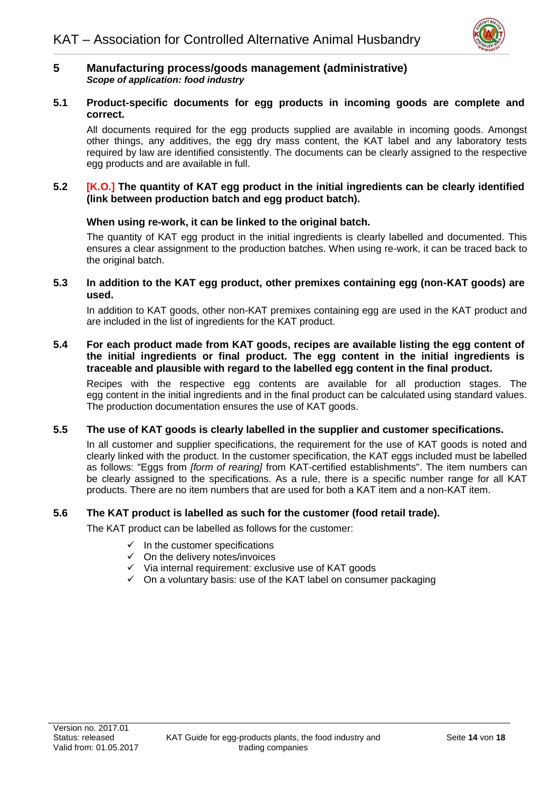![](_page_17_Picture_1.jpeg)

#### <span id="page-17-0"></span>**5 Manufacturing process/goods management (administrative)** *Scope of application: food industry*

#### **5.1 Product-specific documents for egg products in incoming goods are complete and correct.**

All documents required for the egg products supplied are available in incoming goods. Amongst other things, any additives, the egg dry mass content, the KAT label and any laboratory tests required by law are identified consistently. The documents can be clearly assigned to the respective egg products and are available in full.

#### **5.2 [K.O.] The quantity of KAT egg product in the initial ingredients can be clearly identified (link between production batch and egg product batch).**

#### **When using re-work, it can be linked to the original batch.**

The quantity of KAT egg product in the initial ingredients is clearly labelled and documented. This ensures a clear assignment to the production batches. When using re-work, it can be traced back to the original batch.

#### **5.3 In addition to the KAT egg product, other premixes containing egg (non-KAT goods) are used.**

In addition to KAT goods, other non-KAT premixes containing egg are used in the KAT product and are included in the list of ingredients for the KAT product.

#### **5.4 For each product made from KAT goods, recipes are available listing the egg content of the initial ingredients or final product. The egg content in the initial ingredients is traceable and plausible with regard to the labelled egg content in the final product.**

Recipes with the respective egg contents are available for all production stages. The egg content in the initial ingredients and in the final product can be calculated using standard values. The production documentation ensures the use of KAT goods.

#### **5.5 The use of KAT goods is clearly labelled in the supplier and customer specifications.**

In all customer and supplier specifications, the requirement for the use of KAT goods is noted and clearly linked with the product. In the customer specification, the KAT eggs included must be labelled as follows: "Eggs from *[form of rearing]* from KAT-certified establishments". The item numbers can be clearly assigned to the specifications. As a rule, there is a specific number range for all KAT products. There are no item numbers that are used for both a KAT item and a non-KAT item.

#### **5.6 The KAT product is labelled as such for the customer (food retail trade).**

The KAT product can be labelled as follows for the customer:

- $\checkmark$  In the customer specifications
- $\checkmark$  On the delivery notes/invoices
- ✓ Via internal requirement: exclusive use of KAT goods
- $\checkmark$  On a voluntary basis: use of the KAT label on consumer packaging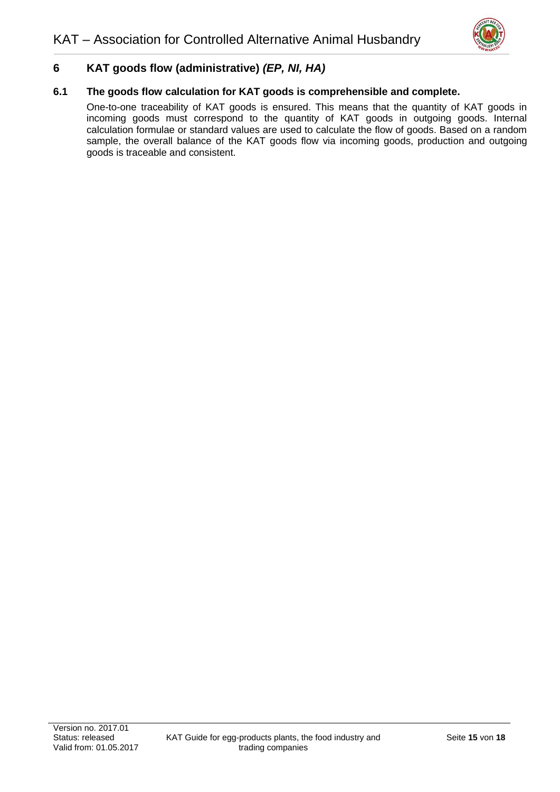![](_page_18_Picture_1.jpeg)

# <span id="page-18-0"></span>**6 KAT goods flow (administrative)** *(EP, NI, HA)*

#### **6.1 The goods flow calculation for KAT goods is comprehensible and complete.**

One-to-one traceability of KAT goods is ensured. This means that the quantity of KAT goods in incoming goods must correspond to the quantity of KAT goods in outgoing goods. Internal calculation formulae or standard values are used to calculate the flow of goods. Based on a random sample, the overall balance of the KAT goods flow via incoming goods, production and outgoing goods is traceable and consistent.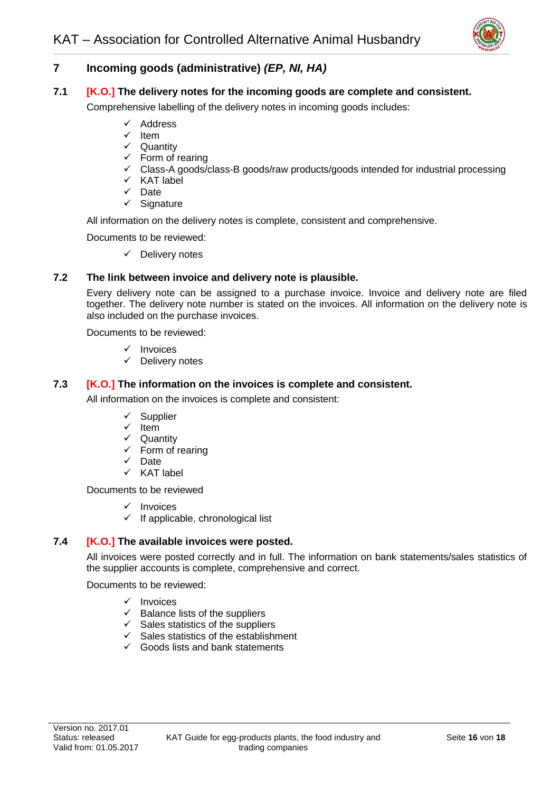![](_page_19_Picture_1.jpeg)

# **7 Incoming goods (administrative)** *(EP, NI, HA)*

#### **7.1 [K.O.] The delivery notes for the incoming goods are complete and consistent.**

Comprehensive labelling of the delivery notes in incoming goods includes:

- ✓ Address
- ✓ Item
- ✓ Quantity
- $\checkmark$  Form of rearing
- ✓ Class-A goods/class-B goods/raw products/goods intended for industrial processing
- ✓ KAT label
- ✓ Date
- ✓ Signature

All information on the delivery notes is complete, consistent and comprehensive.

Documents to be reviewed:

✓ Delivery notes

#### **7.2 The link between invoice and delivery note is plausible.**

Every delivery note can be assigned to a purchase invoice. Invoice and delivery note are filed together. The delivery note number is stated on the invoices. All information on the delivery note is also included on the purchase invoices.

Documents to be reviewed:

- **Invoices**
- ✓ Delivery notes

#### **7.3 [K.O.] The information on the invoices is complete and consistent.**

All information on the invoices is complete and consistent:

- ✓ Supplier
- Item
- ✓ Quantity
- $\checkmark$  Form of rearing
- ✓ Date
- ✓ KAT label

Documents to be reviewed

- ✓ Invoices
- $\checkmark$  If applicable, chronological list

#### **7.4 [K.O.] The available invoices were posted.**

All invoices were posted correctly and in full. The information on bank statements/sales statistics of the supplier accounts is complete, comprehensive and correct.

Documents to be reviewed:

- ✓ Invoices
- $\checkmark$  Balance lists of the suppliers
- $\checkmark$  Sales statistics of the suppliers
- $\checkmark$  Sales statistics of the establishment
- $\checkmark$  Goods lists and bank statements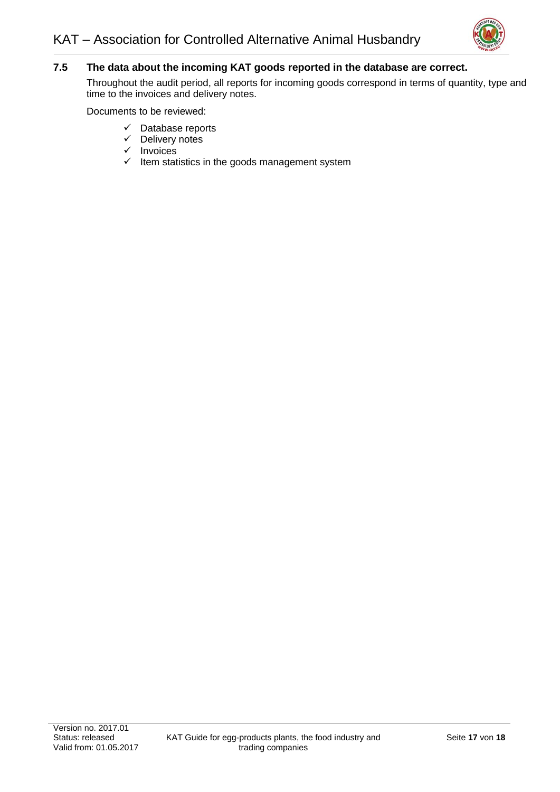![](_page_20_Picture_1.jpeg)

# **7.5 The data about the incoming KAT goods reported in the database are correct.**

Throughout the audit period, all reports for incoming goods correspond in terms of quantity, type and time to the invoices and delivery notes.

Documents to be reviewed:

- ✓ Database reports
- ✓ Delivery notes
- ✓ Invoices
- $\checkmark$  Item statistics in the goods management system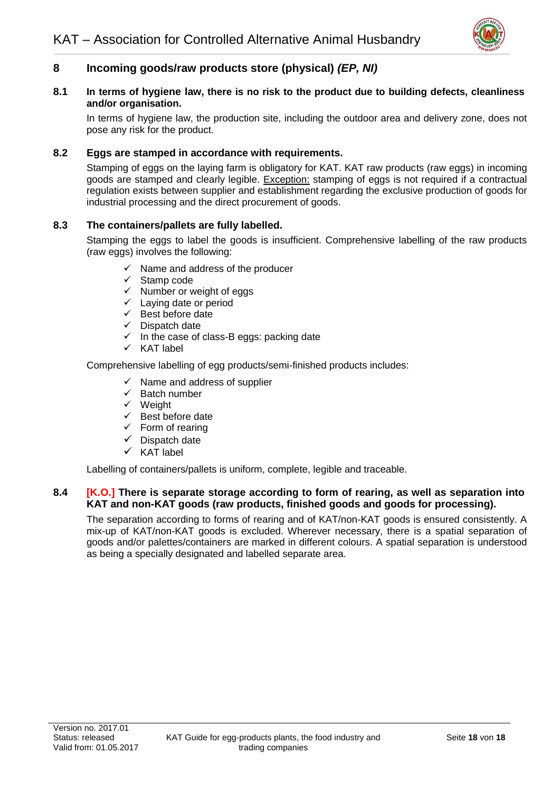![](_page_21_Picture_1.jpeg)

# <span id="page-21-0"></span>**8 Incoming goods/raw products store (physical)** *(EP, NI)*

#### **8.1 In terms of hygiene law, there is no risk to the product due to building defects, cleanliness and/or organisation.**

In terms of hygiene law, the production site, including the outdoor area and delivery zone, does not pose any risk for the product.

### **8.2 Eggs are stamped in accordance with requirements.**

Stamping of eggs on the laying farm is obligatory for KAT. KAT raw products (raw eggs) in incoming goods are stamped and clearly legible. Exception: stamping of eggs is not required if a contractual regulation exists between supplier and establishment regarding the exclusive production of goods for industrial processing and the direct procurement of goods.

#### **8.3 The containers/pallets are fully labelled.**

Stamping the eggs to label the goods is insufficient. Comprehensive labelling of the raw products (raw eggs) involves the following:

- $\checkmark$  Name and address of the producer
- ✓ Stamp code
- $\checkmark$  Number or weight of eggs
- $\checkmark$  Laying date or period
- $\checkmark$  Best before date
- ✓ Dispatch date
- $\checkmark$  In the case of class-B eggs: packing date
- ✓ KAT label

Comprehensive labelling of egg products/semi-finished products includes:

- $\checkmark$  Name and address of supplier
- $\checkmark$  Batch number
- ✓ Weight
- ✓ Best before date
- $\checkmark$  Form of rearing
- $\checkmark$  Dispatch date
- ✓ KAT label

Labelling of containers/pallets is uniform, complete, legible and traceable.

#### **8.4 [K.O.] There is separate storage according to form of rearing, as well as separation into KAT and non-KAT goods (raw products, finished goods and goods for processing).**

The separation according to forms of rearing and of KAT/non-KAT goods is ensured consistently. A mix-up of KAT/non-KAT goods is excluded. Wherever necessary, there is a spatial separation of goods and/or palettes/containers are marked in different colours. A spatial separation is understood as being a specially designated and labelled separate area.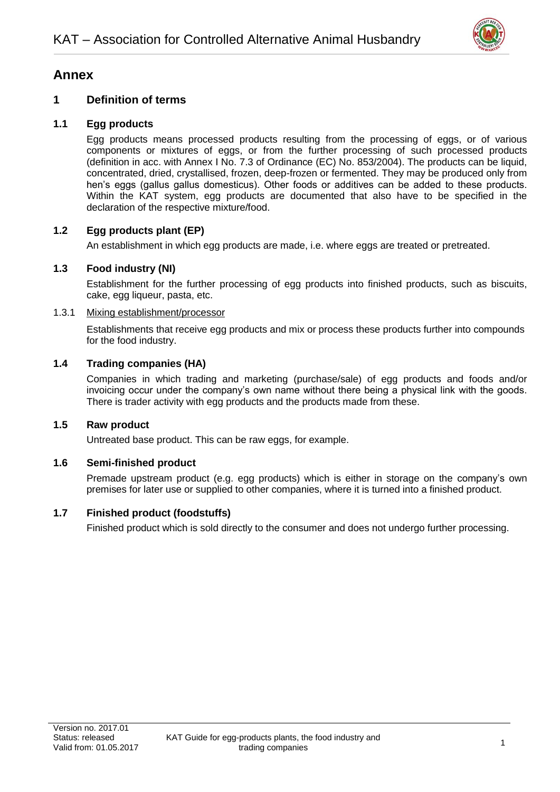![](_page_22_Picture_1.jpeg)

# <span id="page-22-0"></span>**Annex**

# <span id="page-22-1"></span>**1 Definition of terms**

# **1.1 Egg products**

Egg products means processed products resulting from the processing of eggs, or of various components or mixtures of eggs, or from the further processing of such processed products (definition in acc. with Annex I No. 7.3 of Ordinance (EC) No. 853/2004). The products can be liquid, concentrated, dried, crystallised, frozen, deep-frozen or fermented. They may be produced only from hen's eggs (gallus gallus domesticus). Other foods or additives can be added to these products. Within the KAT system, egg products are documented that also have to be specified in the declaration of the respective mixture/food.

# **1.2 Egg products plant (EP)**

An establishment in which egg products are made, i.e. where eggs are treated or pretreated.

# **1.3 Food industry (NI)**

Establishment for the further processing of egg products into finished products, such as biscuits, cake, egg liqueur, pasta, etc.

#### 1.3.1 Mixing establishment/processor

Establishments that receive egg products and mix or process these products further into compounds for the food industry.

# **1.4 Trading companies (HA)**

Companies in which trading and marketing (purchase/sale) of egg products and foods and/or invoicing occur under the company's own name without there being a physical link with the goods. There is trader activity with egg products and the products made from these.

# **1.5 Raw product**

Untreated base product. This can be raw eggs, for example.

# **1.6 Semi-finished product**

Premade upstream product (e.g. egg products) which is either in storage on the company's own premises for later use or supplied to other companies, where it is turned into a finished product.

# **1.7 Finished product (foodstuffs)**

Finished product which is sold directly to the consumer and does not undergo further processing.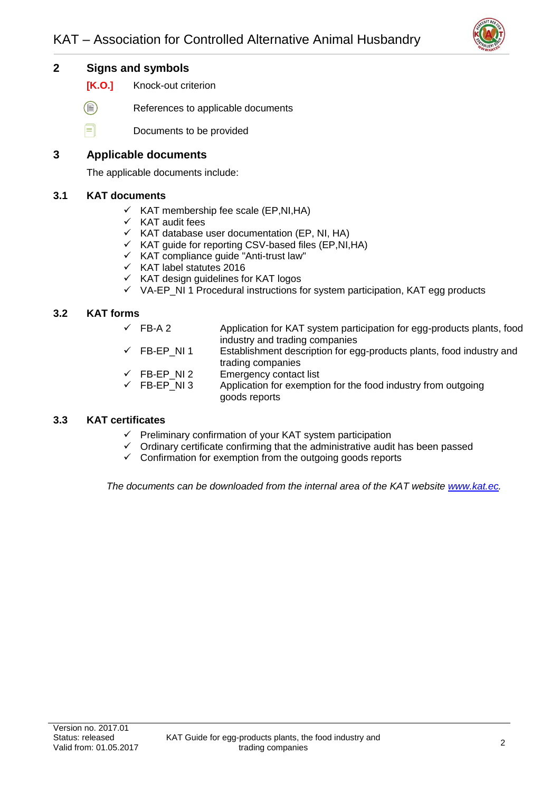![](_page_23_Picture_1.jpeg)

# <span id="page-23-0"></span>**2 Signs and symbols**

- **[K.O.]** Knock-out criterion
- $\textcircled{\scriptsize{\textcircled{\small{\#}}}}$ References to applicable documents
- f Documents to be provided

## <span id="page-23-1"></span>**3 Applicable documents**

The applicable documents include:

#### **3.1 KAT documents**

- $\checkmark$  KAT membership fee scale (EP, NI, HA)
- ✓ KAT audit fees
- $\checkmark$  KAT database user documentation (EP, NI, HA)
- $\checkmark$  KAT quide for reporting CSV-based files (EP, NI, HA)
- $\checkmark$  KAT compliance guide "Anti-trust law"
- ✓ KAT label statutes 2016
- $\times$  KAT design guidelines for KAT logos
- $\checkmark$  VA-EP\_NI 1 Procedural instructions for system participation, KAT egg products

#### **3.2 KAT forms**

- $\checkmark$  FB-A 2 Application for KAT system participation for egg-products plants, food industry and trading companies
- $\checkmark$  FB-EP\_NI 1 Establishment description for egg-products plants, food industry and trading companies
- ✓ FB-EP\_NI 2 Emergency contact list
- Application for exemption for the food industry from outgoing goods reports

#### **3.3 KAT certificates**

- $\checkmark$  Preliminary confirmation of your KAT system participation
- ✓ Ordinary certificate confirming that the administrative audit has been passed
- $\checkmark$  Confirmation for exemption from the outgoing goods reports

*The documents can be downloaded from the internal area of the KAT website [www.kat.ec.](http://www.kat.ec/)*